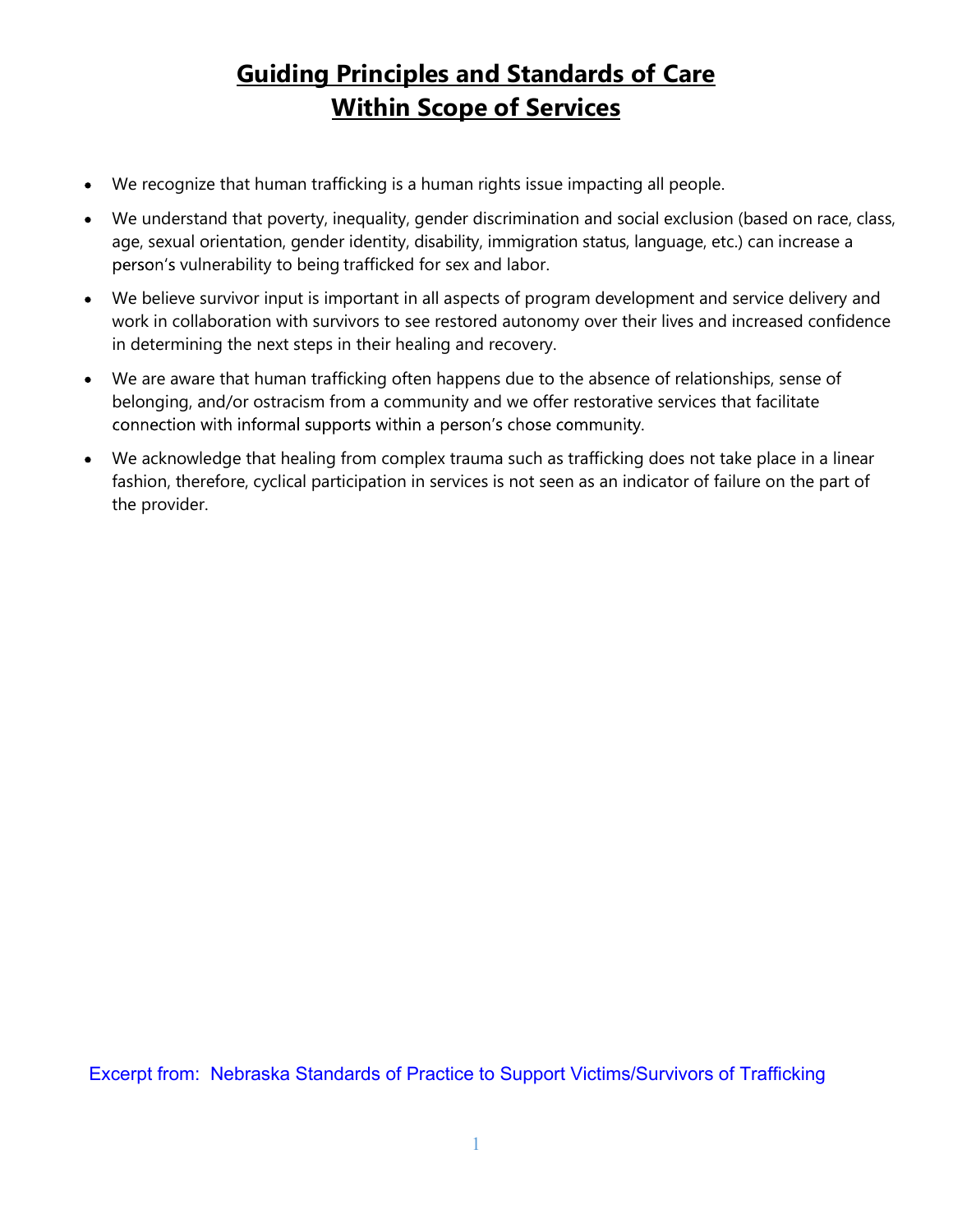# **Guiding Principles and Standards of Care<br>Within Scope of Services<br>Within Scope of Services** Within Scope of Services

- We recognize that human trafficking is a human rights issue impacting all people.
- We understand that poverty, inequality, gender discrimination and social exclusion (based on race, class, age, sexual orientation, gender identity, disability, immigration status, language, etc.) can increase a person's vulnerability to being trafficked for sex and labor.
- We believe survivor input is important in all aspects of program development and service delivery and work in collaboration with survivors to see restored autonomy over their lives and increased confidence in determining the next steps in their healing and recovery.
- We are aware that human trafficking often happens due to the absence of relationships, sense of  $\bullet$ belonging, and/or ostracism from a community and we offer restorative services that facilitate connection with informal supports within a person's chose community.
- We acknowledge that healing from complex trauma such as trafficking does not take place in a linear fashion, therefore, cyclical participation in services is not seen as an indicator of failure on the part of the provider.

Excerpt from: Nebraska Standards of Practice to Support Victims/Survivors of Trafficking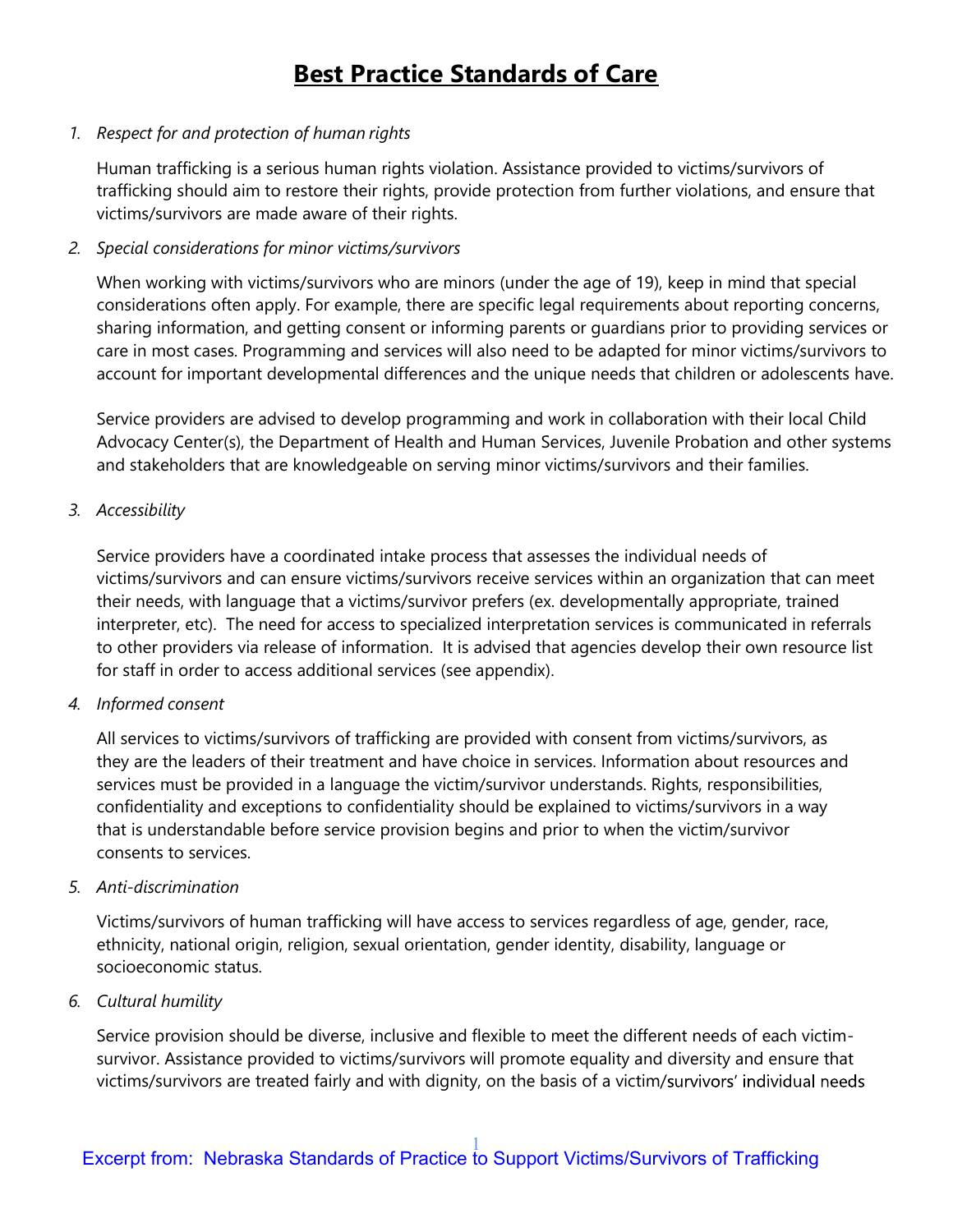# **Best Practice Standards of Care**

**Best Practice Standards of**<br>1. Respect for and protection of human rights<br>Human trafficking is a serious human rights violation. Assistance pro<br>trafficking should aim to restore their rights, provide protection from<br>victi Human trafficking is a serious human rights violation. Assistance provided to victims/survivors of trafficking should aim to restore their rights, provide protection from further violations, and ensure that victims/survivors are made aware of their rights.

**Best Practice Standards of**<br>
2. Respect for and protection of human rights<br>
2. Human trafficking is a serious human rights violation. Assistance pro<br>
1. The trafficking should aim to restore their rights, provide protecti When working with victims/survivors who are minors (under the age of 19), keep in mind that special considerations often apply. For example, there are specific legal requirements about reporting concerns, sharing information, and getting consent or informing parents or guardians prior to providing services or care in most cases. Programming and services will also need to be adapted for minor victims/survivors to account for important developmental differences and the unique needs that children or adolescents have. 1. Respect for and protection of human rights<br>
Human trafficking is a serious human rights violation. Assistance pre<br>
trafficking should aim to restore their rights, provide protection from<br>
victims/survivors are made awar

Service providers are advised to develop programming and work in collaboration with their local Child Advocacy Center(s), the Department of Health and Human Services, Juvenile Probation and other systems and stakeholders that are knowledgeable on serving minor victims/survivors and their families.

Service providers have a coordinated intake process that assesses the individual needs of victims/survivors and can ensure victims/survivors receive services within an organization that can meet their needs, with language that a victims/survivor prefers (ex. developmentally appropriate, trained interpreter, etc). The need for access to specialized interpretation services is communicated in referrals to other providers via release of information. It is advised that agencies develop their own resource list for staff in order to access additional services (see appendix). considerations often apply. For example, there are specific legal req<br>sharing information, and getting consent or informing parents or gue<br>care in most cases. Programming and services will also need to be a<br>account for imp

All services to victims/survivors of trafficking are provided with consent from victims/survivors, as they are the leaders of their treatment and have choice in services. Information about resources and services must be provided in a language the victim/survivor understands. Rights, responsibilities, confidentiality and exceptions to confidentiality should be explained to victims/survivors in a way that is understandable before service provision begins and prior to when the victim/survivor consents to services. Fraction Service providers have a coordinated intake process that assesses the victims/survivors and can ensure victims/survivors receive services we their needs, with language that a victims/survivor prefers (ex. develom their needs, with language that a victims/survivor prefers (ex. develommetry enting that a victims of the providers via release of information. It is advised that agen to other providers via release of information. It is a

Victims/survivors of human trafficking will have access to services regardless of age, gender, race, ethnicity, national origin, religion, sexual orientation, gender identity, disability, language or socioeconomic status.

Service provision should be diverse, inclusive and flexible to meet the different needs of each victimsurvivor. Assistance provided to victims/survivors will promote equality and diversity and ensure that victims/survivors are treated fairly and with dignity, on the basis of a victim/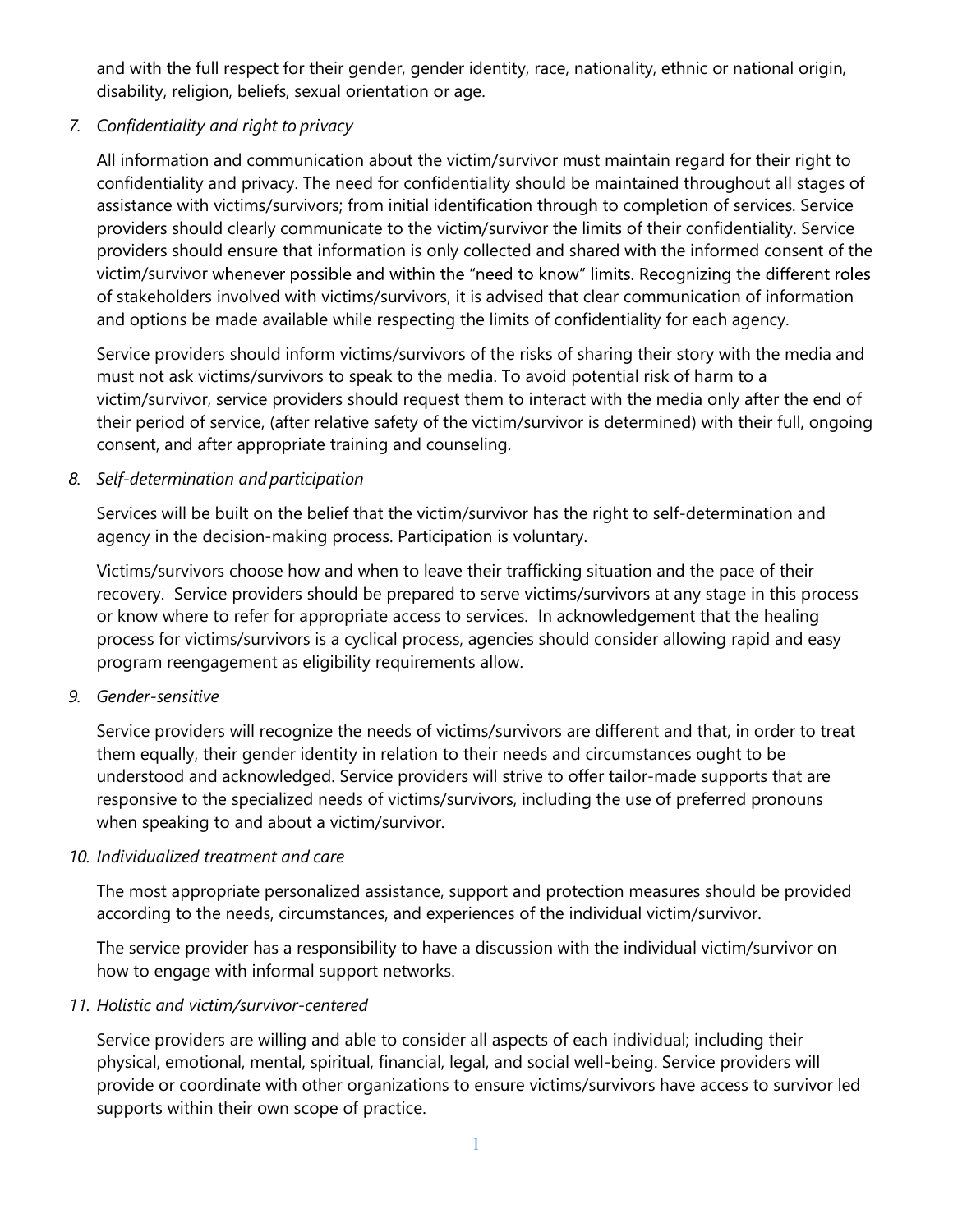and with the full respect for their gender, gender identity, race, nationality, ethnic or national origin, disability, religion, beliefs, sexual orientation or age.

and with the full respect for their gender, gender identity, race, natio<br>
disability, religion, beliefs, sexual orientation or age.<br>
7. Confidentiality and right to privacy<br>
All information and communication about the vict All information and communication about the victim/survivor must maintain regard for their right to confidentiality and privacy. The need for confidentiality should be maintained throughout all stages of assistance with victims/survivors; from initial identification through to completion of services. Service providers should clearly communicate to the victim/survivor the limits of their confidentiality. Service providers should ensure that information is only collected and shared with the informed consent of the victim/survivor whenever possible and within the "need to know" limits. Recognizing the different roles of stakeholders involved with victims/survivors, it is advised that clear communication of information and options be made available while respecting the limits of confidentiality for each agency. Example The mini-spectral valuation or age.<br>
Siability, religion, beliefs, sexual orientation or age.<br>
7. Confidentiality and right to privacy<br>
All information and communication about the victim/survivor must<br>
confidential

Service providers should inform victims/survivors of the risks of sharing their story with the media and must not ask victims/survivors to speak to the media. To avoid potential risk of harm to a victim/survivor, service providers should request them to interact with the media only after the end of their period of service, (after relative safety of the victim/survivor is determined) with their full, ongoing consent, and after appropriate training and counseling.

Services will be built on the belief that the victim/survivor has the right to self-determination and agency in the decision-making process. Participation is voluntary.

Victims/survivors choose how and when to leave their trafficking situation and the pace of their recovery. Service providers should be prepared to serve victims/survivors at any stage in this process or know where to refer for appropriate access to services. In acknowledgement that the healing process for victims/survivors is a cyclical process, agencies should consider allowing rapid and easy program reengagement as eligibility requirements allow. of stakeholders involved with victims/survivors, it is advised that clear and options be made available while respecting the limits of confide<br>Service providers should inform victims/survivors of the risks of share must no

Service providers will recognize the needs of victims/survivors are different and that, in order to treat them equally, their gender identity in relation to their needs and circumstances ought to be understood and acknowledged. Service providers will strive to offer tailor-made supports that are responsive to the specialized needs of victims/survivors, including the use of preferred pronouns when speaking to and about a victim/survivor.

# 10. Individualized treatment and care

The most appropriate personalized assistance, support and protection measures should be provided according to the needs, circumstances, and experiences of the individual victim/survivor.

The service provider has a responsibility to have a discussion with the individual victim/survivor on how to engage with informal support networks.

# 11. Holistic and victim/survivor-centered

Service providers are willing and able to consider all aspects of each individual; including their physical, emotional, mental, spiritual, financial, legal, and social well-being. Service providers will provide or coordinate with other organizations to ensure victims/survivors have access to survivor led supports within their own scope of practice.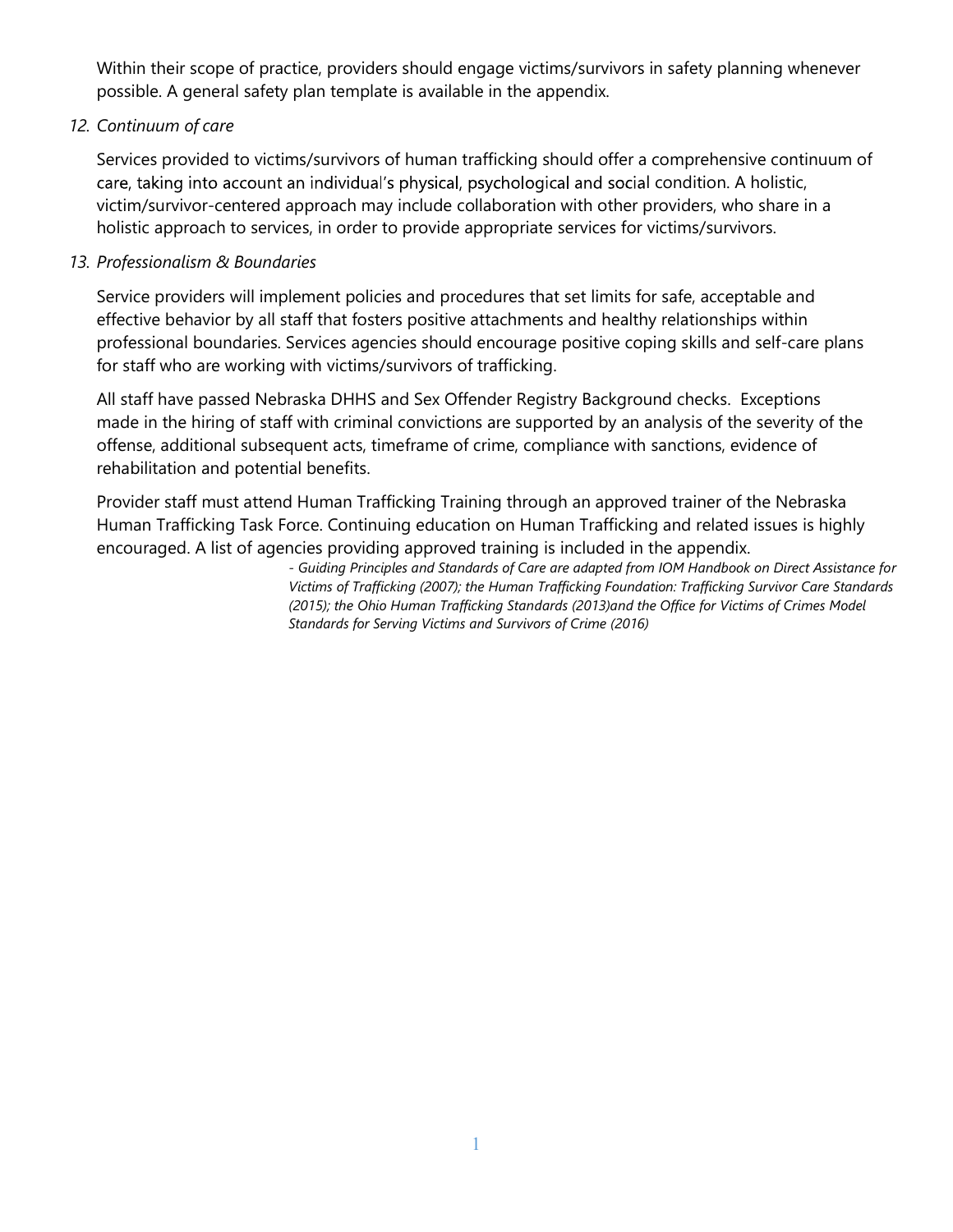Within their scope of practice, providers should engage victims/survivors in safety planning whenever<br>possible. A general safety plan template is available in the appendix.<br>Services provided to victims/survivors of human t

Within their scope of practice, providers should engage victims/survivors in safety planning whenever<br>possible. A general safety plan template is available in the appendix.<br>Continuum of care<br>Services provided to victims/su 12. Continuum of care<br>Services provided to victims/survivors of human trafficking should offer a comprehensive continuum of care, taking into account an individual's physical, psychological and social condition. A holistic, victim/survivor-centered approach may include collaboration with other providers, who share in a holistic approach to services, in order to provide appropriate services for victims/survivors.

## 13. Professionalism & Boundaries

Service providers will implement policies and procedures that set limits for safe, acceptable and effective behavior by all staff that fosters positive attachments and healthy relationships within professional boundaries. Services agencies should encourage positive coping skills and self-care plans for staff who are working with victims/survivors of trafficking.

All staff have passed Nebraska DHHS and Sex Offender Registry Background checks. Exceptions made in the hiring of staff with criminal convictions are supported by an analysis of the severity of the offense, additional subsequent acts, timeframe of crime, compliance with sanctions, evidence of rehabilitation and potential benefits.

Provider staff must attend Human Trafficking Training through an approved trainer of the Nebraska Human Trafficking Task Force. Continuing education on Human Trafficking and related issues is highly encouraged. A list of agencies providing approved training is included in the appendix.

> - Guiding Principles and Standards of Care are adapted from IOM Handbook on Direct Assistance for Victims of Trafficking (2007); the Human Trafficking Foundation: Trafficking Survivor Care Standards (2015); the Ohio Human Trafficking Standards (2013)and the Office for Victims of Crimes Model Standards for Serving Victims and Survivors of Crime (2016)